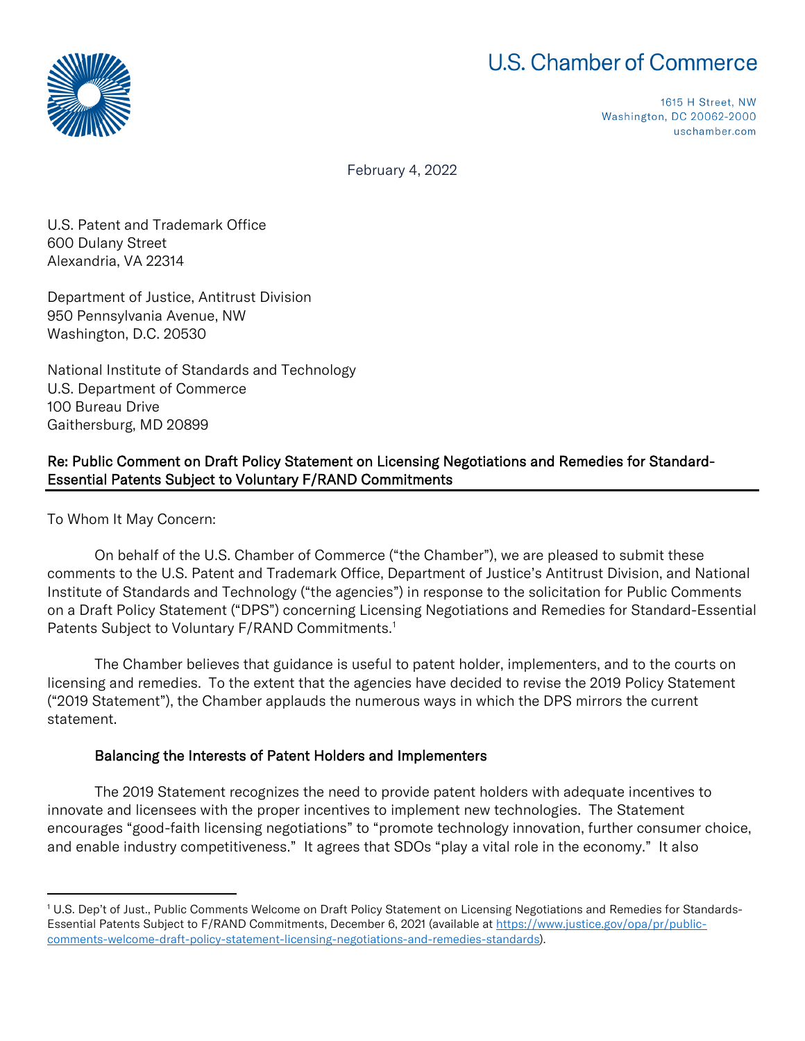## **U.S. Chamber of Commerce**



1615 H Street, NW Washington, DC 20062-2000 uschamber.com

February 4, 2022

U.S. Patent and Trademark Office 600 Dulany Street Alexandria, VA 22314

Department of Justice, Antitrust Division 950 Pennsylvania Avenue, NW Washington, D.C. 20530

National Institute of Standards and Technology U.S. Department of Commerce 100 Bureau Drive Gaithersburg, MD 20899

## Re: Public Comment on Draft Policy Statement on Licensing Negotiations and Remedies for Standard-Essential Patents Subject to Voluntary F/RAND Commitments

To Whom It May Concern:

On behalf of the U.S. Chamber of Commerce ("the Chamber"), we are pleased to submit these comments to the U.S. Patent and Trademark Office, Department of Justice's Antitrust Division, and National Institute of Standards and Technology ("the agencies") in response to the solicitation for Public Comments on a Draft Policy Statement ("DPS") concerning Licensing Negotiations and Remedies for Standard-Essential Patents Subject to Voluntary F/RAND Commitments.<sup>[1](#page-0-0)</sup>

The Chamber believes that guidance is useful to patent holder, implementers, and to the courts on licensing and remedies. To the extent that the agencies have decided to revise the 2019 Policy Statement ("2019 Statement"), the Chamber applauds the numerous ways in which the DPS mirrors the current statement.

## Balancing the Interests of Patent Holders and Implementers

The 2019 Statement recognizes the need to provide patent holders with adequate incentives to innovate and licensees with the proper incentives to implement new technologies. The Statement encourages "good-faith licensing negotiations" to "promote technology innovation, further consumer choice, and enable industry competitiveness." It agrees that SDOs "play a vital role in the economy." It also

<span id="page-0-0"></span><sup>1</sup> U.S. Dep't of Just., Public Comments Welcome on Draft Policy Statement on Licensing Negotiations and Remedies for Standards-Essential Patents Subject to F/RAND Commitments, December 6, 2021 (available a[t https://www.justice.gov/opa/pr/public](https://www.justice.gov/opa/pr/public-comments-welcome-draft-policy-statement-licensing-negotiations-and-remedies-standards)[comments-welcome-draft-policy-statement-licensing-negotiations-and-remedies-standards\)](https://www.justice.gov/opa/pr/public-comments-welcome-draft-policy-statement-licensing-negotiations-and-remedies-standards).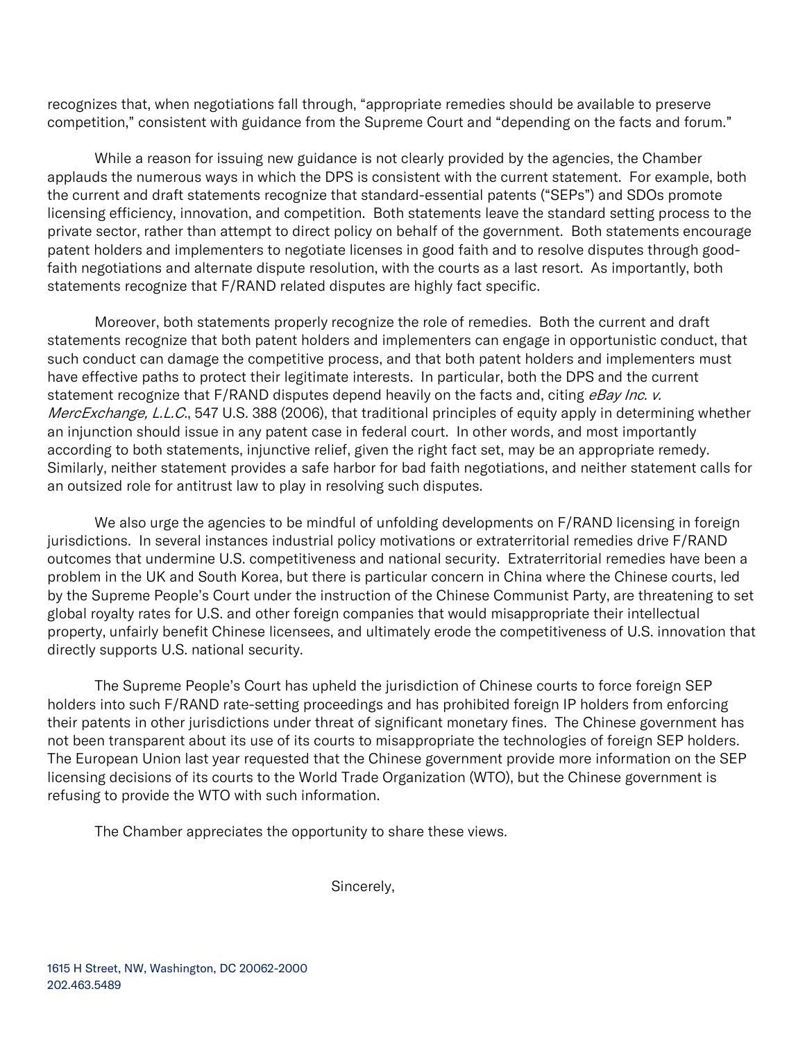recognizes that, when negotiations fall through, "appropriate remedies should be available to preserve competition," consistent with guidance from the Supreme Court and "depending on the facts and forum."

While a reason for issuing new guidance is not clearly provided by the agencies, the Chamber applauds the numerous ways in which the DPS is consistent with the current statement. For example, both the current and draft statements recognize that standard-essential patents ("SEPs") and SDOs promote licensing efficiency, innovation, and competition. Both statements leave the standard setting process to the private sector, rather than attempt to direct policy on behalf of the government. Both statements encourage patent holders and implementers to negotiate licenses in good faith and to resolve disputes through goodfaith negotiations and alternate dispute resolution, with the courts as a last resort. As importantly, both statements recognize that F/RAND related disputes are highly fact specific.

Moreover, both statements properly recognize the role of remedies. Both the current and draft statements recognize that both patent holders and implementers can engage in opportunistic conduct, that such conduct can damage the competitive process, and that both patent holders and implementers must have effective paths to protect their legitimate interests. In particular, both the DPS and the current statement recognize that F/RAND disputes depend heavily on the facts and, citing eBay Inc. v. MercExchange, L.L.C., 547 U.S. 388 (2006), that traditional principles of equity apply in determining whether an injunction should issue in any patent case in federal court. In other words, and most importantly according to both statements, injunctive relief, given the right fact set, may be an appropriate remedy. Similarly, neither statement provides a safe harbor for bad faith negotiations, and neither statement calls for an outsized role for antitrust law to play in resolving such disputes.

We also urge the agencies to be mindful of unfolding developments on  $F/RAND$  licensing in foreign jurisdictions. In several instances industrial policy motivations or extraterritorial remedies drive F/RAND outcomes that undermine U.S. competitiveness and national security. Extraterritorial remedies have been a problem in the UK and South Korea, but there is particular concern in China where the Chinese courts, led by the Supreme People's Court under the instruction of the Chinese Communist Party, are threatening to set global royalty rates for U.S. and other foreign companies that would misappropriate their intellectual property, unfairly benefit Chinese licensees, and ultimately erode the competitiveness of U.S. innovation that directly supports U.S. national security.

The Supreme People's Court has upheld the jurisdiction of Chinese courts to force foreign SEP holders into such F/RAND rate-setting proceedings and has prohibited foreign IP holders from enforcing their patents in other jurisdictions under threat of significant monetary fines. The Chinese government has not been transparent about its use of its courts to misappropriate the technologies of foreign SEP holders. The European Union last year requested that the Chinese government provide more information on the SEP licensing decisions of its courts to the World Trade Organization (WTO), but the Chinese government is refusing to provide the WTO with such information.

The Chamber appreciates the opportunity to share these views.

Sincerely,